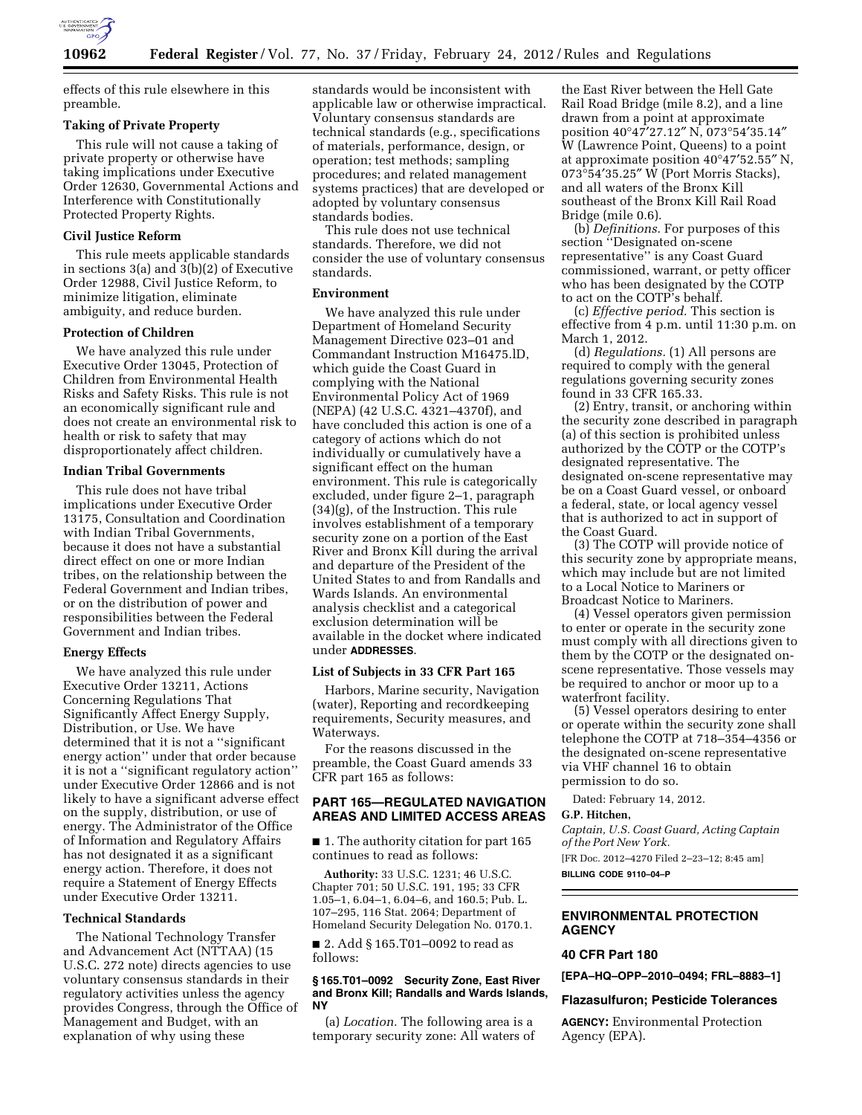

effects of this rule elsewhere in this preamble.

## **Taking of Private Property**

This rule will not cause a taking of private property or otherwise have taking implications under Executive Order 12630, Governmental Actions and Interference with Constitutionally Protected Property Rights.

## **Civil Justice Reform**

This rule meets applicable standards in sections 3(a) and 3(b)(2) of Executive Order 12988, Civil Justice Reform, to minimize litigation, eliminate ambiguity, and reduce burden.

## **Protection of Children**

We have analyzed this rule under Executive Order 13045, Protection of Children from Environmental Health Risks and Safety Risks. This rule is not an economically significant rule and does not create an environmental risk to health or risk to safety that may disproportionately affect children.

## **Indian Tribal Governments**

This rule does not have tribal implications under Executive Order 13175, Consultation and Coordination with Indian Tribal Governments, because it does not have a substantial direct effect on one or more Indian tribes, on the relationship between the Federal Government and Indian tribes, or on the distribution of power and responsibilities between the Federal Government and Indian tribes.

#### **Energy Effects**

We have analyzed this rule under Executive Order 13211, Actions Concerning Regulations That Significantly Affect Energy Supply, Distribution, or Use. We have determined that it is not a ''significant energy action'' under that order because it is not a ''significant regulatory action'' under Executive Order 12866 and is not likely to have a significant adverse effect on the supply, distribution, or use of energy. The Administrator of the Office of Information and Regulatory Affairs has not designated it as a significant energy action. Therefore, it does not require a Statement of Energy Effects under Executive Order 13211.

#### **Technical Standards**

The National Technology Transfer and Advancement Act (NTTAA) (15 U.S.C. 272 note) directs agencies to use voluntary consensus standards in their regulatory activities unless the agency provides Congress, through the Office of Management and Budget, with an explanation of why using these

standards would be inconsistent with applicable law or otherwise impractical. Voluntary consensus standards are technical standards (e.g., specifications of materials, performance, design, or operation; test methods; sampling procedures; and related management systems practices) that are developed or adopted by voluntary consensus standards bodies.

This rule does not use technical standards. Therefore, we did not consider the use of voluntary consensus standards.

#### **Environment**

We have analyzed this rule under Department of Homeland Security Management Directive 023–01 and Commandant Instruction M16475.lD, which guide the Coast Guard in complying with the National Environmental Policy Act of 1969 (NEPA) (42 U.S.C. 4321–4370f), and have concluded this action is one of a category of actions which do not individually or cumulatively have a significant effect on the human environment. This rule is categorically excluded, under figure 2–1, paragraph (34)(g), of the Instruction. This rule involves establishment of a temporary security zone on a portion of the East River and Bronx Kill during the arrival and departure of the President of the United States to and from Randalls and Wards Islands. An environmental analysis checklist and a categorical exclusion determination will be available in the docket where indicated under **ADDRESSES**.

#### **List of Subjects in 33 CFR Part 165**

Harbors, Marine security, Navigation (water), Reporting and recordkeeping requirements, Security measures, and Waterways.

For the reasons discussed in the preamble, the Coast Guard amends 33 CFR part 165 as follows:

## **PART 165—REGULATED NAVIGATION AREAS AND LIMITED ACCESS AREAS**

■ 1. The authority citation for part 165 continues to read as follows:

**Authority:** 33 U.S.C. 1231; 46 U.S.C. Chapter 701; 50 U.S.C. 191, 195; 33 CFR 1.05–1, 6.04–1, 6.04–6, and 160.5; Pub. L. 107–295, 116 Stat. 2064; Department of Homeland Security Delegation No. 0170.1.

■ 2. Add § 165.T01–0092 to read as follows:

#### **§ 165.T01–0092 Security Zone, East River and Bronx Kill; Randalls and Wards Islands, NY**

(a) *Location.* The following area is a temporary security zone: All waters of

the East River between the Hell Gate Rail Road Bridge (mile 8.2), and a line drawn from a point at approximate position 40°47′27.12″ N, 073°54′35.14″ W (Lawrence Point, Queens) to a point at approximate position 40°47′52.55″ N, 073°54′35.25″ W (Port Morris Stacks), and all waters of the Bronx Kill southeast of the Bronx Kill Rail Road Bridge (mile 0.6).

(b) *Definitions.* For purposes of this section ''Designated on-scene representative'' is any Coast Guard commissioned, warrant, or petty officer who has been designated by the COTP to act on the COTP's behalf.

(c) *Effective period.* This section is effective from 4 p.m. until 11:30 p.m. on March 1, 2012.

(d) *Regulations.* (1) All persons are required to comply with the general regulations governing security zones found in 33 CFR 165.33.

(2) Entry, transit, or anchoring within the security zone described in paragraph (a) of this section is prohibited unless authorized by the COTP or the COTP's designated representative. The designated on-scene representative may be on a Coast Guard vessel, or onboard a federal, state, or local agency vessel that is authorized to act in support of the Coast Guard.

(3) The COTP will provide notice of this security zone by appropriate means, which may include but are not limited to a Local Notice to Mariners or Broadcast Notice to Mariners.

(4) Vessel operators given permission to enter or operate in the security zone must comply with all directions given to them by the COTP or the designated onscene representative. Those vessels may be required to anchor or moor up to a waterfront facility.

(5) Vessel operators desiring to enter or operate within the security zone shall telephone the COTP at 718–354–4356 or the designated on-scene representative via VHF channel 16 to obtain permission to do so.

Dated: February 14, 2012.

## **G.P. Hitchen,**

*Captain, U.S. Coast Guard, Acting Captain of the Port New York.* 

[FR Doc. 2012–4270 Filed 2–23–12; 8:45 am] **BILLING CODE 9110–04–P** 

**ENVIRONMENTAL PROTECTION AGENCY** 

#### **40 CFR Part 180**

**[EPA–HQ–OPP–2010–0494; FRL–8883–1]** 

#### **Flazasulfuron; Pesticide Tolerances**

**AGENCY:** Environmental Protection Agency (EPA).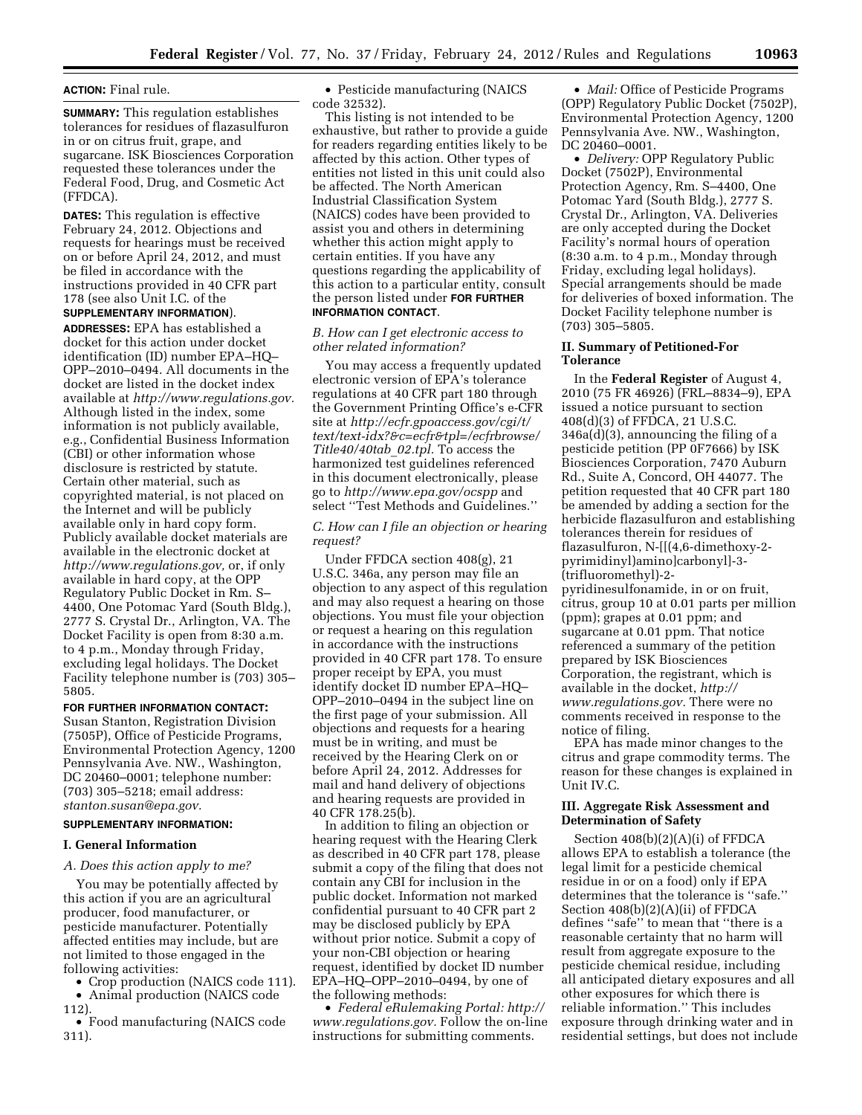#### **ACTION:** Final rule.

**SUMMARY:** This regulation establishes tolerances for residues of flazasulfuron in or on citrus fruit, grape, and sugarcane. ISK Biosciences Corporation requested these tolerances under the Federal Food, Drug, and Cosmetic Act (FFDCA).

**DATES:** This regulation is effective February 24, 2012. Objections and requests for hearings must be received on or before April 24, 2012, and must be filed in accordance with the instructions provided in 40 CFR part 178 (see also Unit I.C. of the **SUPPLEMENTARY INFORMATION**).

**ADDRESSES:** EPA has established a docket for this action under docket identification (ID) number EPA–HQ– OPP–2010–0494. All documents in the docket are listed in the docket index available at *[http://www.regulations.gov.](http://www.regulations.gov)*  Although listed in the index, some information is not publicly available, e.g., Confidential Business Information (CBI) or other information whose disclosure is restricted by statute. Certain other material, such as copyrighted material, is not placed on the Internet and will be publicly available only in hard copy form. Publicly available docket materials are available in the electronic docket at *[http://www.regulations.gov,](http://www.regulations.gov)* or, if only available in hard copy, at the OPP Regulatory Public Docket in Rm. S– 4400, One Potomac Yard (South Bldg.), 2777 S. Crystal Dr., Arlington, VA. The Docket Facility is open from 8:30 a.m. to 4 p.m., Monday through Friday, excluding legal holidays. The Docket Facility telephone number is (703) 305– 5805.

#### **FOR FURTHER INFORMATION CONTACT:**

Susan Stanton, Registration Division (7505P), Office of Pesticide Programs, Environmental Protection Agency, 1200 Pennsylvania Ave. NW., Washington, DC 20460–0001; telephone number: (703) 305–5218; email address: *[stanton.susan@epa.gov.](mailto:stanton.susan@epa.gov)* 

## **SUPPLEMENTARY INFORMATION:**

#### **I. General Information**

## *A. Does this action apply to me?*

You may be potentially affected by this action if you are an agricultural producer, food manufacturer, or pesticide manufacturer. Potentially affected entities may include, but are not limited to those engaged in the following activities:

• Crop production (NAICS code 111).

• Animal production (NAICS code 112).

• Food manufacturing (NAICS code 311).

• Pesticide manufacturing (NAICS code 32532).

This listing is not intended to be exhaustive, but rather to provide a guide for readers regarding entities likely to be affected by this action. Other types of entities not listed in this unit could also be affected. The North American Industrial Classification System (NAICS) codes have been provided to assist you and others in determining whether this action might apply to certain entities. If you have any questions regarding the applicability of this action to a particular entity, consult the person listed under **FOR FURTHER INFORMATION CONTACT**.

## *B. How can I get electronic access to other related information?*

You may access a frequently updated electronic version of EPA's tolerance regulations at 40 CFR part 180 through the Government Printing Office's e-CFR site at *[http://ecfr.gpoaccess.gov/cgi/t/](http://ecfr.gpoaccess.gov/cgi/t/text/text-idx?&c=ecfr&tpl=/ecfrbrowse/Title40/40tab_02.tpl)  [text/text-idx?&c=ecfr&tpl=/ecfrbrowse/](http://ecfr.gpoaccess.gov/cgi/t/text/text-idx?&c=ecfr&tpl=/ecfrbrowse/Title40/40tab_02.tpl) [Title40/40tab](http://ecfr.gpoaccess.gov/cgi/t/text/text-idx?&c=ecfr&tpl=/ecfrbrowse/Title40/40tab_02.tpl)*\_*02.tpl.* To access the harmonized test guidelines referenced in this document electronically, please go to *<http://www.epa.gov/ocspp>*and select ''Test Methods and Guidelines.''

## *C. How can I file an objection or hearing request?*

Under FFDCA section 408(g), 21 U.S.C. 346a, any person may file an objection to any aspect of this regulation and may also request a hearing on those objections. You must file your objection or request a hearing on this regulation in accordance with the instructions provided in 40 CFR part 178. To ensure proper receipt by EPA, you must identify docket ID number EPA–HQ– OPP–2010–0494 in the subject line on the first page of your submission. All objections and requests for a hearing must be in writing, and must be received by the Hearing Clerk on or before April 24, 2012. Addresses for mail and hand delivery of objections and hearing requests are provided in 40 CFR 178.25(b).

In addition to filing an objection or hearing request with the Hearing Clerk as described in 40 CFR part 178, please submit a copy of the filing that does not contain any CBI for inclusion in the public docket. Information not marked confidential pursuant to 40 CFR part 2 may be disclosed publicly by EPA without prior notice. Submit a copy of your non-CBI objection or hearing request, identified by docket ID number EPA–HQ–OPP–2010–0494, by one of the following methods:

• *Federal eRulemaking Portal: [http://](http://www.regulations.gov)  [www.regulations.gov.](http://www.regulations.gov)* Follow the on-line instructions for submitting comments.

• *Mail:* Office of Pesticide Programs (OPP) Regulatory Public Docket (7502P), Environmental Protection Agency, 1200 Pennsylvania Ave. NW., Washington, DC 20460-0001.

• *Delivery:* OPP Regulatory Public Docket (7502P), Environmental Protection Agency, Rm. S–4400, One Potomac Yard (South Bldg.), 2777 S. Crystal Dr., Arlington, VA. Deliveries are only accepted during the Docket Facility's normal hours of operation (8:30 a.m. to 4 p.m., Monday through Friday, excluding legal holidays). Special arrangements should be made for deliveries of boxed information. The Docket Facility telephone number is (703) 305–5805.

## **II. Summary of Petitioned-For Tolerance**

In the **Federal Register** of August 4, 2010 (75 FR 46926) (FRL–8834–9), EPA issued a notice pursuant to section 408(d)(3) of FFDCA, 21 U.S.C. 346a(d)(3), announcing the filing of a pesticide petition (PP 0F7666) by ISK Biosciences Corporation, 7470 Auburn Rd., Suite A, Concord, OH 44077. The petition requested that 40 CFR part 180 be amended by adding a section for the herbicide flazasulfuron and establishing tolerances therein for residues of flazasulfuron, N-[[(4,6-dimethoxy-2 pyrimidinyl)amino]carbonyl]-3- (trifluoromethyl)-2 pyridinesulfonamide, in or on fruit, citrus, group 10 at 0.01 parts per million (ppm); grapes at 0.01 ppm; and sugarcane at 0.01 ppm. That notice referenced a summary of the petition prepared by ISK Biosciences Corporation, the registrant, which is available in the docket, *[http://](http://www.regulations.gov)  [www.regulations.gov.](http://www.regulations.gov)* There were no comments received in response to the notice of filing.

EPA has made minor changes to the citrus and grape commodity terms. The reason for these changes is explained in Unit IV.C.

#### **III. Aggregate Risk Assessment and Determination of Safety**

Section 408(b)(2)(A)(i) of FFDCA allows EPA to establish a tolerance (the legal limit for a pesticide chemical residue in or on a food) only if EPA determines that the tolerance is ''safe.'' Section 408(b)(2)(A)(ii) of FFDCA defines ''safe'' to mean that ''there is a reasonable certainty that no harm will result from aggregate exposure to the pesticide chemical residue, including all anticipated dietary exposures and all other exposures for which there is reliable information.'' This includes exposure through drinking water and in residential settings, but does not include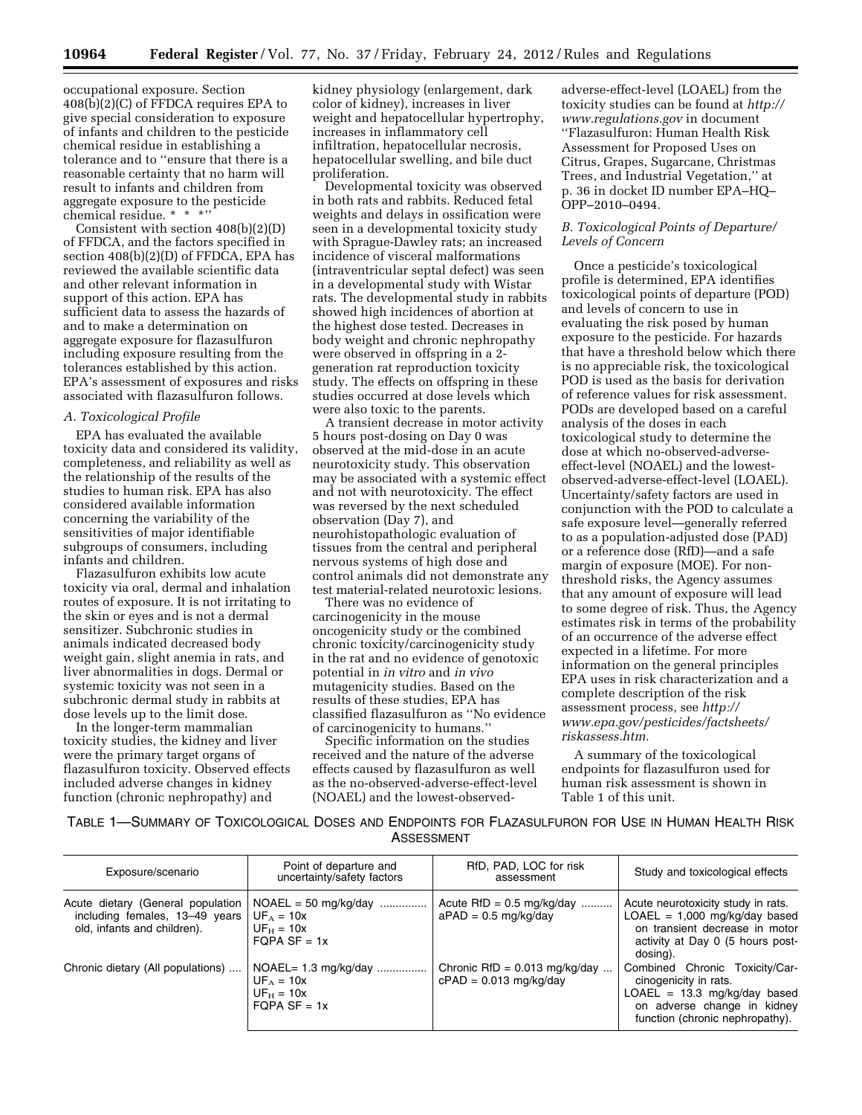occupational exposure. Section 408(b)(2)(C) of FFDCA requires EPA to give special consideration to exposure of infants and children to the pesticide chemical residue in establishing a tolerance and to ''ensure that there is a reasonable certainty that no harm will result to infants and children from aggregate exposure to the pesticide chemical residue. \* \* \*''

Consistent with section 408(b)(2)(D) of FFDCA, and the factors specified in section  $408(b)(2)(D)$  of FFDCA, EPA has reviewed the available scientific data and other relevant information in support of this action. EPA has sufficient data to assess the hazards of and to make a determination on aggregate exposure for flazasulfuron including exposure resulting from the tolerances established by this action. EPA's assessment of exposures and risks associated with flazasulfuron follows.

## *A. Toxicological Profile*

EPA has evaluated the available toxicity data and considered its validity, completeness, and reliability as well as the relationship of the results of the studies to human risk. EPA has also considered available information concerning the variability of the sensitivities of major identifiable subgroups of consumers, including infants and children.

Flazasulfuron exhibits low acute toxicity via oral, dermal and inhalation routes of exposure. It is not irritating to the skin or eyes and is not a dermal sensitizer. Subchronic studies in animals indicated decreased body weight gain, slight anemia in rats, and liver abnormalities in dogs. Dermal or systemic toxicity was not seen in a subchronic dermal study in rabbits at dose levels up to the limit dose.

In the longer-term mammalian toxicity studies, the kidney and liver were the primary target organs of flazasulfuron toxicity. Observed effects included adverse changes in kidney function (chronic nephropathy) and

kidney physiology (enlargement, dark color of kidney), increases in liver weight and hepatocellular hypertrophy, increases in inflammatory cell infiltration, hepatocellular necrosis, hepatocellular swelling, and bile duct proliferation.

Developmental toxicity was observed in both rats and rabbits. Reduced fetal weights and delays in ossification were seen in a developmental toxicity study with Sprague-Dawley rats; an increased incidence of visceral malformations (intraventricular septal defect) was seen in a developmental study with Wistar rats. The developmental study in rabbits showed high incidences of abortion at the highest dose tested. Decreases in body weight and chronic nephropathy were observed in offspring in a 2 generation rat reproduction toxicity study. The effects on offspring in these studies occurred at dose levels which were also toxic to the parents.

A transient decrease in motor activity 5 hours post-dosing on Day 0 was observed at the mid-dose in an acute neurotoxicity study. This observation may be associated with a systemic effect and not with neurotoxicity. The effect was reversed by the next scheduled observation (Day 7), and neurohistopathologic evaluation of tissues from the central and peripheral nervous systems of high dose and control animals did not demonstrate any test material-related neurotoxic lesions.

There was no evidence of carcinogenicity in the mouse oncogenicity study or the combined chronic toxicity/carcinogenicity study in the rat and no evidence of genotoxic potential in *in vitro* and *in vivo*  mutagenicity studies. Based on the results of these studies, EPA has classified flazasulfuron as ''No evidence of carcinogenicity to humans.''

Specific information on the studies received and the nature of the adverse effects caused by flazasulfuron as well as the no-observed-adverse-effect-level (NOAEL) and the lowest-observedadverse-effect-level (LOAEL) from the toxicity studies can be found at *[http://](http://www.regulations.gov) [www.regulations.gov](http://www.regulations.gov)* in document ''Flazasulfuron: Human Health Risk Assessment for Proposed Uses on Citrus, Grapes, Sugarcane, Christmas Trees, and Industrial Vegetation,'' at p. 36 in docket ID number EPA–HQ– OPP–2010–0494.

## *B. Toxicological Points of Departure/ Levels of Concern*

Once a pesticide's toxicological profile is determined, EPA identifies toxicological points of departure (POD) and levels of concern to use in evaluating the risk posed by human exposure to the pesticide. For hazards that have a threshold below which there is no appreciable risk, the toxicological POD is used as the basis for derivation of reference values for risk assessment. PODs are developed based on a careful analysis of the doses in each toxicological study to determine the dose at which no-observed-adverseeffect-level (NOAEL) and the lowestobserved-adverse-effect-level (LOAEL). Uncertainty/safety factors are used in conjunction with the POD to calculate a safe exposure level—generally referred to as a population-adjusted dose (PAD) or a reference dose (RfD)—and a safe margin of exposure (MOE). For nonthreshold risks, the Agency assumes that any amount of exposure will lead to some degree of risk. Thus, the Agency estimates risk in terms of the probability of an occurrence of the adverse effect expected in a lifetime. For more information on the general principles EPA uses in risk characterization and a complete description of the risk assessment process, see *[http://](http://www.epa.gov/pesticides/factsheets/riskassess.htm) [www.epa.gov/pesticides/factsheets/](http://www.epa.gov/pesticides/factsheets/riskassess.htm) [riskassess.htm.](http://www.epa.gov/pesticides/factsheets/riskassess.htm)* 

A summary of the toxicological endpoints for flazasulfuron used for human risk assessment is shown in Table 1 of this unit.

TABLE 1—SUMMARY OF TOXICOLOGICAL DOSES AND ENDPOINTS FOR FLAZASULFURON FOR USE IN HUMAN HEALTH RISK ASSESSMENT

| Exposure/scenario                                                                                  | Point of departure and<br>uncertainty/safety factors                      | RfD, PAD, LOC for risk<br>assessment                        | Study and toxicological effects                                                                                                                             |
|----------------------------------------------------------------------------------------------------|---------------------------------------------------------------------------|-------------------------------------------------------------|-------------------------------------------------------------------------------------------------------------------------------------------------------------|
| Acute dietary (General population<br>including females, 13-49 years<br>old, infants and children). | $NOAEL = 50 mg/kg/day$<br>$UF_A = 10x$<br>$UF_H = 10x$<br>$FOPA SF = 1x$  | Acute $RfD = 0.5$ mg/kg/day<br>$aPAD = 0.5$ mg/kg/day       | Acute neurotoxicity study in rats.<br>$LOAEL = 1,000 mg/kg/day$ based<br>on transient decrease in motor<br>activity at Day 0 (5 hours post-<br>dosing).     |
| Chronic dietary (All populations)                                                                  | $NOAEL = 1.3 mg/kg/day$<br>$UF_A = 10x$<br>$UF_H = 10x$<br>$FOPA SF = 1x$ | Chronic RfD = $0.013$ mg/kg/day<br>$cPAD = 0.013$ mg/kg/day | Combined Chronic Toxicity/Car-<br>cinogenicity in rats.<br>$LOAEL = 13.3 mg/kg/day$ based<br>on adverse change in kidney<br>function (chronic nephropathy). |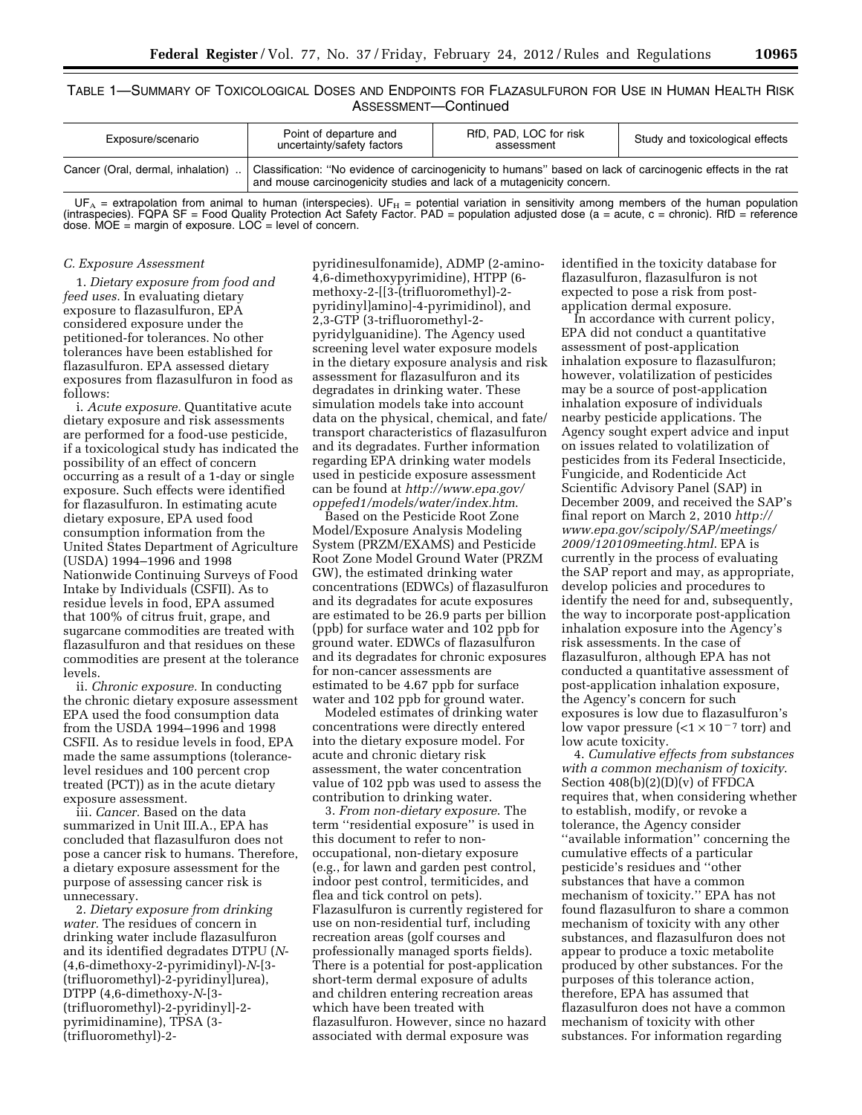TABLE 1—SUMMARY OF TOXICOLOGICAL DOSES AND ENDPOINTS FOR FLAZASULFURON FOR USE IN HUMAN HEALTH RISK ASSESSMENT—Continued

| Exposure/scenario                 | Point of departure and<br>uncertainty/safety factors                                                                                                                                 | RfD, PAD, LOC for risk<br>assessment | Study and toxicological effects |
|-----------------------------------|--------------------------------------------------------------------------------------------------------------------------------------------------------------------------------------|--------------------------------------|---------------------------------|
| Cancer (Oral, dermal, inhalation) | Classification: "No evidence of carcinogenicity to humans" based on lack of carcinogenic effects in the rat<br>and mouse carcinogenicity studies and lack of a mutagenicity concern. |                                      |                                 |

 $UF_A$  = extrapolation from animal to human (interspecies). UF $_H$  = potential variation in sensitivity among members of the human population (intraspecies). FQPA SF = Food Quality Protection Act Safety Factor. PAD = population adjusted dose (a = acute, c = chronic). RfD = reference dose. MOE = margin of exposure.  $LOC$  = level of concern.

#### *C. Exposure Assessment*

1. *Dietary exposure from food and feed uses.* In evaluating dietary exposure to flazasulfuron, EPA considered exposure under the petitioned-for tolerances. No other tolerances have been established for flazasulfuron. EPA assessed dietary exposures from flazasulfuron in food as follows:

i. *Acute exposure.* Quantitative acute dietary exposure and risk assessments are performed for a food-use pesticide, if a toxicological study has indicated the possibility of an effect of concern occurring as a result of a 1-day or single exposure. Such effects were identified for flazasulfuron. In estimating acute dietary exposure, EPA used food consumption information from the United States Department of Agriculture (USDA) 1994–1996 and 1998 Nationwide Continuing Surveys of Food Intake by Individuals (CSFII). As to residue levels in food, EPA assumed that 100% of citrus fruit, grape, and sugarcane commodities are treated with flazasulfuron and that residues on these commodities are present at the tolerance levels.

ii. *Chronic exposure.* In conducting the chronic dietary exposure assessment EPA used the food consumption data from the USDA 1994–1996 and 1998 CSFII. As to residue levels in food, EPA made the same assumptions (tolerancelevel residues and 100 percent crop treated (PCT)) as in the acute dietary exposure assessment.

iii. *Cancer.* Based on the data summarized in Unit III.A., EPA has concluded that flazasulfuron does not pose a cancer risk to humans. Therefore, a dietary exposure assessment for the purpose of assessing cancer risk is unnecessary.

2. *Dietary exposure from drinking water.* The residues of concern in drinking water include flazasulfuron and its identified degradates DTPU (*N*- (4,6-dimethoxy-2-pyrimidinyl)-*N*-[3- (trifluoromethyl)-2-pyridinyl]urea), DTPP (4,6-dimethoxy-*N*-[3- (trifluoromethyl)-2-pyridinyl]-2 pyrimidinamine), TPSA (3- (trifluoromethyl)-2pyridinesulfonamide), ADMP (2-amino-4,6-dimethoxypyrimidine), HTPP (6 methoxy-2-[[3-(trifluoromethyl)-2 pyridinyl]amino]-4-pyrimidinol), and 2,3-GTP (3-trifluoromethyl-2 pyridylguanidine). The Agency used screening level water exposure models in the dietary exposure analysis and risk assessment for flazasulfuron and its degradates in drinking water. These simulation models take into account data on the physical, chemical, and fate/ transport characteristics of flazasulfuron and its degradates. Further information regarding EPA drinking water models used in pesticide exposure assessment can be found at *[http://www.epa.gov/](http://www.epa.gov/oppefed1/models/water/index.htm)  [oppefed1/models/water/index.htm](http://www.epa.gov/oppefed1/models/water/index.htm)*.

Based on the Pesticide Root Zone Model/Exposure Analysis Modeling System (PRZM/EXAMS) and Pesticide Root Zone Model Ground Water (PRZM GW), the estimated drinking water concentrations (EDWCs) of flazasulfuron and its degradates for acute exposures are estimated to be 26.9 parts per billion (ppb) for surface water and 102 ppb for ground water. EDWCs of flazasulfuron and its degradates for chronic exposures for non-cancer assessments are estimated to be 4.67 ppb for surface water and 102 ppb for ground water.

Modeled estimates of drinking water concentrations were directly entered into the dietary exposure model. For acute and chronic dietary risk assessment, the water concentration value of 102 ppb was used to assess the contribution to drinking water.

3. *From non-dietary exposure*. The term ''residential exposure'' is used in this document to refer to nonoccupational, non-dietary exposure (e.g., for lawn and garden pest control, indoor pest control, termiticides, and flea and tick control on pets). Flazasulfuron is currently registered for use on non-residential turf, including recreation areas (golf courses and professionally managed sports fields). There is a potential for post-application short-term dermal exposure of adults and children entering recreation areas which have been treated with flazasulfuron. However, since no hazard associated with dermal exposure was

identified in the toxicity database for flazasulfuron, flazasulfuron is not expected to pose a risk from postapplication dermal exposure.

In accordance with current policy, EPA did not conduct a quantitative assessment of post-application inhalation exposure to flazasulfuron; however, volatilization of pesticides may be a source of post-application inhalation exposure of individuals nearby pesticide applications. The Agency sought expert advice and input on issues related to volatilization of pesticides from its Federal Insecticide, Fungicide, and Rodenticide Act Scientific Advisory Panel (SAP) in December 2009, and received the SAP's final report on March 2, 2010 *[http://](http://www.epa.gov/scipoly/SAP/meetings/2009/120109meeting.html)  [www.epa.gov/scipoly/SAP/meetings/](http://www.epa.gov/scipoly/SAP/meetings/2009/120109meeting.html)  [2009/120109meeting.html](http://www.epa.gov/scipoly/SAP/meetings/2009/120109meeting.html)*. EPA is currently in the process of evaluating the SAP report and may, as appropriate, develop policies and procedures to identify the need for and, subsequently, the way to incorporate post-application inhalation exposure into the Agency's risk assessments. In the case of flazasulfuron, although EPA has not conducted a quantitative assessment of post-application inhalation exposure, the Agency's concern for such exposures is low due to flazasulfuron's low vapor pressure  $(2 \times 10^{-7} \text{ torr})$  and low acute toxicity.

4. *Cumulative effects from substances with a common mechanism of toxicity*. Section  $408(b)(2)(D)(v)$  of FFDCA requires that, when considering whether to establish, modify, or revoke a tolerance, the Agency consider ''available information'' concerning the cumulative effects of a particular pesticide's residues and ''other substances that have a common mechanism of toxicity.'' EPA has not found flazasulfuron to share a common mechanism of toxicity with any other substances, and flazasulfuron does not appear to produce a toxic metabolite produced by other substances. For the purposes of this tolerance action, therefore, EPA has assumed that flazasulfuron does not have a common mechanism of toxicity with other substances. For information regarding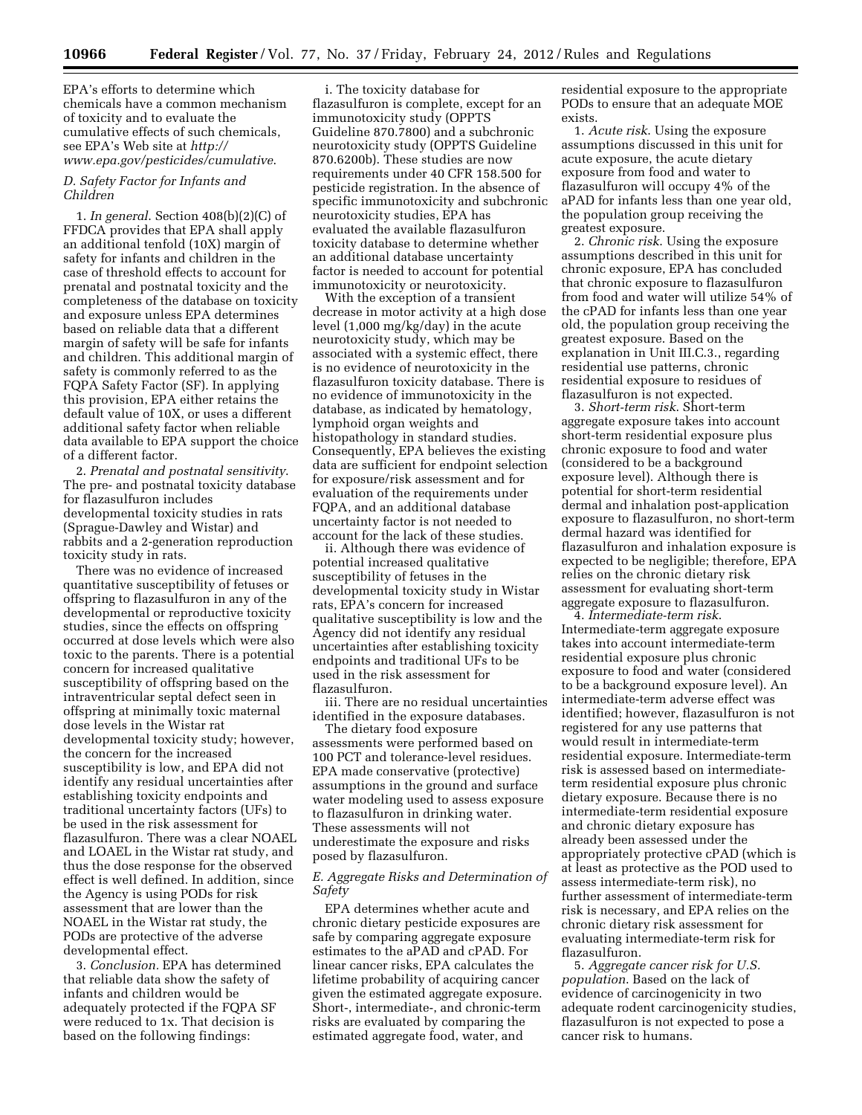EPA's efforts to determine which chemicals have a common mechanism of toxicity and to evaluate the cumulative effects of such chemicals, see EPA's Web site at *[http://](http://www.epa.gov/pesticides/cumulative)  [www.epa.gov/pesticides/cumulative](http://www.epa.gov/pesticides/cumulative)*.

## *D. Safety Factor for Infants and Children*

1. *In general*. Section 408(b)(2)(C) of FFDCA provides that EPA shall apply an additional tenfold (10X) margin of safety for infants and children in the case of threshold effects to account for prenatal and postnatal toxicity and the completeness of the database on toxicity and exposure unless EPA determines based on reliable data that a different margin of safety will be safe for infants and children. This additional margin of safety is commonly referred to as the FQPA Safety Factor (SF). In applying this provision, EPA either retains the default value of 10X, or uses a different additional safety factor when reliable data available to EPA support the choice of a different factor.

2. *Prenatal and postnatal sensitivity*. The pre- and postnatal toxicity database for flazasulfuron includes developmental toxicity studies in rats (Sprague-Dawley and Wistar) and rabbits and a 2-generation reproduction toxicity study in rats.

There was no evidence of increased quantitative susceptibility of fetuses or offspring to flazasulfuron in any of the developmental or reproductive toxicity studies, since the effects on offspring occurred at dose levels which were also toxic to the parents. There is a potential concern for increased qualitative susceptibility of offspring based on the intraventricular septal defect seen in offspring at minimally toxic maternal dose levels in the Wistar rat developmental toxicity study; however, the concern for the increased susceptibility is low, and EPA did not identify any residual uncertainties after establishing toxicity endpoints and traditional uncertainty factors (UFs) to be used in the risk assessment for flazasulfuron. There was a clear NOAEL and LOAEL in the Wistar rat study, and thus the dose response for the observed effect is well defined. In addition, since the Agency is using PODs for risk assessment that are lower than the NOAEL in the Wistar rat study, the PODs are protective of the adverse developmental effect.

3. *Conclusion.* EPA has determined that reliable data show the safety of infants and children would be adequately protected if the FQPA SF were reduced to 1x. That decision is based on the following findings:

i. The toxicity database for flazasulfuron is complete, except for an immunotoxicity study (OPPTS Guideline 870.7800) and a subchronic neurotoxicity study (OPPTS Guideline 870.6200b). These studies are now requirements under 40 CFR 158.500 for pesticide registration. In the absence of specific immunotoxicity and subchronic neurotoxicity studies, EPA has evaluated the available flazasulfuron toxicity database to determine whether an additional database uncertainty factor is needed to account for potential immunotoxicity or neurotoxicity.

With the exception of a transient decrease in motor activity at a high dose level (1,000 mg/kg/day) in the acute neurotoxicity study, which may be associated with a systemic effect, there is no evidence of neurotoxicity in the flazasulfuron toxicity database. There is no evidence of immunotoxicity in the database, as indicated by hematology, lymphoid organ weights and histopathology in standard studies. Consequently, EPA believes the existing data are sufficient for endpoint selection for exposure/risk assessment and for evaluation of the requirements under FQPA, and an additional database uncertainty factor is not needed to account for the lack of these studies.

ii. Although there was evidence of potential increased qualitative susceptibility of fetuses in the developmental toxicity study in Wistar rats, EPA's concern for increased qualitative susceptibility is low and the Agency did not identify any residual uncertainties after establishing toxicity endpoints and traditional UFs to be used in the risk assessment for flazasulfuron.

iii. There are no residual uncertainties identified in the exposure databases.

The dietary food exposure assessments were performed based on 100 PCT and tolerance-level residues. EPA made conservative (protective) assumptions in the ground and surface water modeling used to assess exposure to flazasulfuron in drinking water. These assessments will not underestimate the exposure and risks posed by flazasulfuron.

## *E. Aggregate Risks and Determination of Safety*

EPA determines whether acute and chronic dietary pesticide exposures are safe by comparing aggregate exposure estimates to the aPAD and cPAD. For linear cancer risks, EPA calculates the lifetime probability of acquiring cancer given the estimated aggregate exposure. Short-, intermediate-, and chronic-term risks are evaluated by comparing the estimated aggregate food, water, and

residential exposure to the appropriate PODs to ensure that an adequate MOE exists.

1. *Acute risk*. Using the exposure assumptions discussed in this unit for acute exposure, the acute dietary exposure from food and water to flazasulfuron will occupy 4% of the aPAD for infants less than one year old, the population group receiving the greatest exposure.

2. *Chronic risk*. Using the exposure assumptions described in this unit for chronic exposure, EPA has concluded that chronic exposure to flazasulfuron from food and water will utilize 54% of the cPAD for infants less than one year old, the population group receiving the greatest exposure. Based on the explanation in Unit III.C.3., regarding residential use patterns, chronic residential exposure to residues of flazasulfuron is not expected.

3. *Short-term risk*. Short-term aggregate exposure takes into account short-term residential exposure plus chronic exposure to food and water (considered to be a background exposure level). Although there is potential for short-term residential dermal and inhalation post-application exposure to flazasulfuron, no short-term dermal hazard was identified for flazasulfuron and inhalation exposure is expected to be negligible; therefore, EPA relies on the chronic dietary risk assessment for evaluating short-term aggregate exposure to flazasulfuron.

4. *Intermediate-term risk*. Intermediate-term aggregate exposure takes into account intermediate-term residential exposure plus chronic exposure to food and water (considered to be a background exposure level). An intermediate-term adverse effect was identified; however, flazasulfuron is not registered for any use patterns that would result in intermediate-term residential exposure. Intermediate-term risk is assessed based on intermediateterm residential exposure plus chronic dietary exposure. Because there is no intermediate-term residential exposure and chronic dietary exposure has already been assessed under the appropriately protective cPAD (which is at least as protective as the POD used to assess intermediate-term risk), no further assessment of intermediate-term risk is necessary, and EPA relies on the chronic dietary risk assessment for evaluating intermediate-term risk for flazasulfuron.

5. *Aggregate cancer risk for U.S. population*. Based on the lack of evidence of carcinogenicity in two adequate rodent carcinogenicity studies, flazasulfuron is not expected to pose a cancer risk to humans.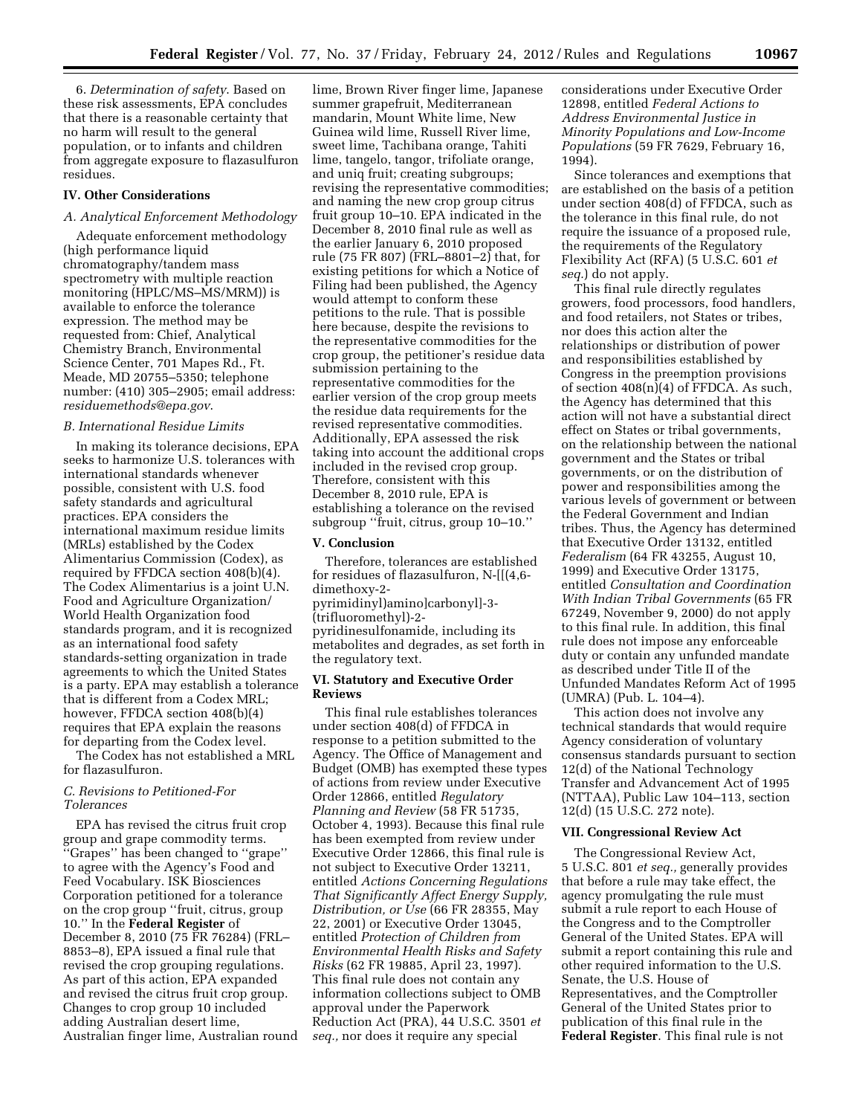6. *Determination of safety*. Based on these risk assessments, EPA concludes that there is a reasonable certainty that no harm will result to the general population, or to infants and children from aggregate exposure to flazasulfuron residues.

#### **IV. Other Considerations**

#### *A. Analytical Enforcement Methodology*

Adequate enforcement methodology (high performance liquid chromatography/tandem mass spectrometry with multiple reaction monitoring (HPLC/MS–MS/MRM)) is available to enforce the tolerance expression. The method may be requested from: Chief, Analytical Chemistry Branch, Environmental Science Center, 701 Mapes Rd., Ft. Meade, MD 20755–5350; telephone number: (410) 305–2905; email address: *[residuemethods@epa.gov](mailto:residuemethods@epa.gov)*.

#### *B. International Residue Limits*

In making its tolerance decisions, EPA seeks to harmonize U.S. tolerances with international standards whenever possible, consistent with U.S. food safety standards and agricultural practices. EPA considers the international maximum residue limits (MRLs) established by the Codex Alimentarius Commission (Codex), as required by FFDCA section 408(b)(4). The Codex Alimentarius is a joint U.N. Food and Agriculture Organization/ World Health Organization food standards program, and it is recognized as an international food safety standards-setting organization in trade agreements to which the United States is a party. EPA may establish a tolerance that is different from a Codex MRL; however, FFDCA section 408(b)(4) requires that EPA explain the reasons for departing from the Codex level.

The Codex has not established a MRL for flazasulfuron.

## *C. Revisions to Petitioned-For Tolerances*

EPA has revised the citrus fruit crop group and grape commodity terms. ''Grapes'' has been changed to ''grape'' to agree with the Agency's Food and Feed Vocabulary. ISK Biosciences Corporation petitioned for a tolerance on the crop group ''fruit, citrus, group 10.'' In the **Federal Register** of December 8, 2010 (75 FR 76284) (FRL– 8853–8), EPA issued a final rule that revised the crop grouping regulations. As part of this action, EPA expanded and revised the citrus fruit crop group. Changes to crop group 10 included adding Australian desert lime, Australian finger lime, Australian round

lime, Brown River finger lime, Japanese summer grapefruit, Mediterranean mandarin, Mount White lime, New Guinea wild lime, Russell River lime, sweet lime, Tachibana orange, Tahiti lime, tangelo, tangor, trifoliate orange, and uniq fruit; creating subgroups; revising the representative commodities; and naming the new crop group citrus fruit group 10–10. EPA indicated in the December 8, 2010 final rule as well as the earlier January 6, 2010 proposed rule (75 FR 807) (FRL–8801–2) that, for existing petitions for which a Notice of Filing had been published, the Agency would attempt to conform these petitions to the rule. That is possible here because, despite the revisions to the representative commodities for the crop group, the petitioner's residue data submission pertaining to the representative commodities for the earlier version of the crop group meets the residue data requirements for the revised representative commodities. Additionally, EPA assessed the risk taking into account the additional crops included in the revised crop group. Therefore, consistent with this December 8, 2010 rule, EPA is establishing a tolerance on the revised subgroup ''fruit, citrus, group 10–10.''

#### **V. Conclusion**

Therefore, tolerances are established for residues of flazasulfuron, N-[[(4,6 dimethoxy-2 pyrimidinyl)amino]carbonyl]-3- (trifluoromethyl)-2 pyridinesulfonamide, including its metabolites and degrades, as set forth in the regulatory text.

## **VI. Statutory and Executive Order Reviews**

This final rule establishes tolerances under section 408(d) of FFDCA in response to a petition submitted to the Agency. The Office of Management and Budget (OMB) has exempted these types of actions from review under Executive Order 12866, entitled *Regulatory Planning and Review* (58 FR 51735, October 4, 1993). Because this final rule has been exempted from review under Executive Order 12866, this final rule is not subject to Executive Order 13211, entitled *Actions Concerning Regulations That Significantly Affect Energy Supply, Distribution, or Use* (66 FR 28355, May 22, 2001) or Executive Order 13045, entitled *Protection of Children from Environmental Health Risks and Safety Risks* (62 FR 19885, April 23, 1997). This final rule does not contain any information collections subject to OMB approval under the Paperwork Reduction Act (PRA), 44 U.S.C. 3501 *et seq.,* nor does it require any special

considerations under Executive Order 12898, entitled *Federal Actions to Address Environmental Justice in Minority Populations and Low-Income Populations* (59 FR 7629, February 16, 1994).

Since tolerances and exemptions that are established on the basis of a petition under section 408(d) of FFDCA, such as the tolerance in this final rule, do not require the issuance of a proposed rule, the requirements of the Regulatory Flexibility Act (RFA) (5 U.S.C. 601 *et seq.*) do not apply.

This final rule directly regulates growers, food processors, food handlers, and food retailers, not States or tribes, nor does this action alter the relationships or distribution of power and responsibilities established by Congress in the preemption provisions of section 408(n)(4) of FFDCA. As such, the Agency has determined that this action will not have a substantial direct effect on States or tribal governments, on the relationship between the national government and the States or tribal governments, or on the distribution of power and responsibilities among the various levels of government or between the Federal Government and Indian tribes. Thus, the Agency has determined that Executive Order 13132, entitled *Federalism* (64 FR 43255, August 10, 1999) and Executive Order 13175, entitled *Consultation and Coordination With Indian Tribal Governments* (65 FR 67249, November 9, 2000) do not apply to this final rule. In addition, this final rule does not impose any enforceable duty or contain any unfunded mandate as described under Title II of the Unfunded Mandates Reform Act of 1995 (UMRA) (Pub. L. 104–4).

This action does not involve any technical standards that would require Agency consideration of voluntary consensus standards pursuant to section 12(d) of the National Technology Transfer and Advancement Act of 1995 (NTTAA), Public Law 104–113, section 12(d) (15 U.S.C. 272 note).

#### **VII. Congressional Review Act**

The Congressional Review Act, 5 U.S.C. 801 *et seq.,* generally provides that before a rule may take effect, the agency promulgating the rule must submit a rule report to each House of the Congress and to the Comptroller General of the United States. EPA will submit a report containing this rule and other required information to the U.S. Senate, the U.S. House of Representatives, and the Comptroller General of the United States prior to publication of this final rule in the **Federal Register**. This final rule is not